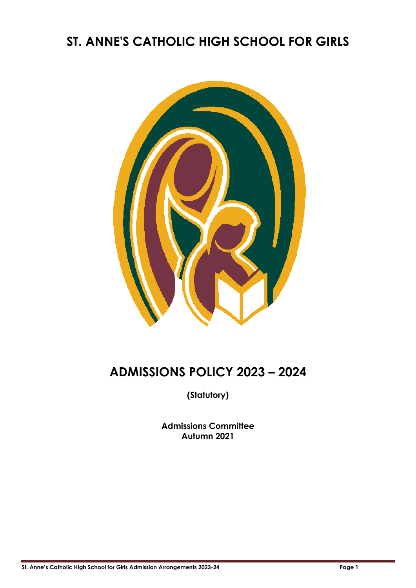## **ST. ANNE'S CATHOLIC HIGH SCHOOL FOR GIRLS**



# **ADMISSIONS POLICY 2023 – 2024**

**(Statutory)**

**Admissions Committee Autumn 2021**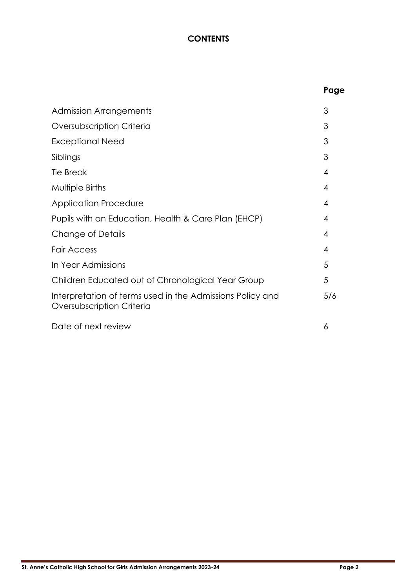### **CONTENTS**

|                                                                                        | Page |
|----------------------------------------------------------------------------------------|------|
| <b>Admission Arrangements</b>                                                          | 3    |
| Oversubscription Criteria                                                              | 3    |
| <b>Exceptional Need</b>                                                                | 3    |
| Siblings                                                                               | 3    |
| <b>Tie Break</b>                                                                       | 4    |
| Multiple Births                                                                        | 4    |
| <b>Application Procedure</b>                                                           | 4    |
| Pupils with an Education, Health & Care Plan (EHCP)                                    | 4    |
| Change of Details                                                                      | 4    |
| <b>Fair Access</b>                                                                     | 4    |
| In Year Admissions                                                                     | 5    |
| Children Educated out of Chronological Year Group                                      | 5    |
| Interpretation of terms used in the Admissions Policy and<br>Oversubscription Criteria | 5/6  |
| Date of next review                                                                    | 6    |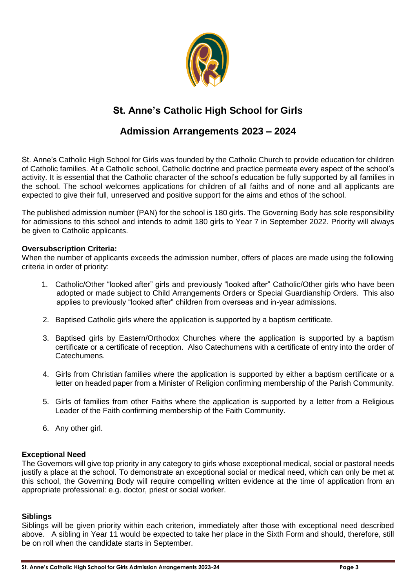

## **St. Anne's Catholic High School for Girls**

### **Admission Arrangements 2023 – 2024**

St. Anne's Catholic High School for Girls was founded by the Catholic Church to provide education for children of Catholic families. At a Catholic school, Catholic doctrine and practice permeate every aspect of the school's activity. It is essential that the Catholic character of the school's education be fully supported by all families in the school. The school welcomes applications for children of all faiths and of none and all applicants are expected to give their full, unreserved and positive support for the aims and ethos of the school.

The published admission number (PAN) for the school is 180 girls. The Governing Body has sole responsibility for admissions to this school and intends to admit 180 girls to Year 7 in September 2022. Priority will always be given to Catholic applicants.

#### **Oversubscription Criteria:**

When the number of applicants exceeds the admission number, offers of places are made using the following criteria in order of priority:

- 1. Catholic/Other "looked after" girls and previously "looked after" Catholic/Other girls who have been adopted or made subject to Child Arrangements Orders or Special Guardianship Orders. This also applies to previously "looked after" children from overseas and in-year admissions.
- 2. Baptised Catholic girls where the application is supported by a baptism certificate.
- 3. Baptised girls by Eastern/Orthodox Churches where the application is supported by a baptism certificate or a certificate of reception. Also Catechumens with a certificate of entry into the order of Catechumens.
- 4. Girls from Christian families where the application is supported by either a baptism certificate or a letter on headed paper from a Minister of Religion confirming membership of the Parish Community.
- 5. Girls of families from other Faiths where the application is supported by a letter from a Religious Leader of the Faith confirming membership of the Faith Community.
- 6. Any other girl.

#### **Exceptional Need**

The Governors will give top priority in any category to girls whose exceptional medical, social or pastoral needs justify a place at the school. To demonstrate an exceptional social or medical need, which can only be met at this school, the Governing Body will require compelling written evidence at the time of application from an appropriate professional: e.g. doctor, priest or social worker.

#### **Siblings**

Siblings will be given priority within each criterion, immediately after those with exceptional need described above. A sibling in Year 11 would be expected to take her place in the Sixth Form and should, therefore, still be on roll when the candidate starts in September.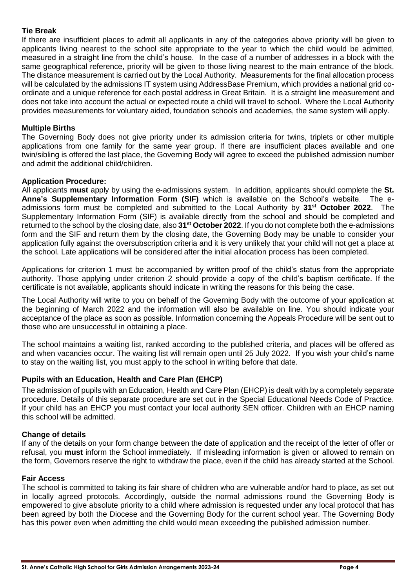#### **Tie Break**

If there are insufficient places to admit all applicants in any of the categories above priority will be given to applicants living nearest to the school site appropriate to the year to which the child would be admitted, measured in a straight line from the child's house. In the case of a number of addresses in a block with the same geographical reference, priority will be given to those living nearest to the main entrance of the block. The distance measurement is carried out by the Local Authority. Measurements for the final allocation process will be calculated by the admissions IT system using AddressBase Premium, which provides a national grid coordinate and a unique reference for each postal address in Great Britain. It is a straight line measurement and does not take into account the actual or expected route a child will travel to school. Where the Local Authority provides measurements for voluntary aided, foundation schools and academies, the same system will apply.

#### **Multiple Births**

The Governing Body does not give priority under its admission criteria for twins, triplets or other multiple applications from one family for the same year group. If there are insufficient places available and one twin/sibling is offered the last place, the Governing Body will agree to exceed the published admission number and admit the additional child/children.

#### **Application Procedure:**

All applicants **must** apply by using the e-admissions system. In addition, applicants should complete the **St. Anne's Supplementary Information Form (SIF)** which is available on the School's website. The eadmissions form must be completed and submitted to the Local Authority by **31st October 2022**. The Supplementary Information Form (SIF) is available directly from the school and should be completed and returned to the school by the closing date, also **31st October 2022**. If you do not complete both the e-admissions form and the SIF and return them by the closing date, the Governing Body may be unable to consider your application fully against the oversubscription criteria and it is very unlikely that your child will not get a place at the school. Late applications will be considered after the initial allocation process has been completed.

Applications for criterion 1 must be accompanied by written proof of the child's status from the appropriate authority. Those applying under criterion 2 should provide a copy of the child's baptism certificate. If the certificate is not available, applicants should indicate in writing the reasons for this being the case.

The Local Authority will write to you on behalf of the Governing Body with the outcome of your application at the beginning of March 2022 and the information will also be available on line. You should indicate your acceptance of the place as soon as possible. Information concerning the Appeals Procedure will be sent out to those who are unsuccessful in obtaining a place.

The school maintains a waiting list, ranked according to the published criteria, and places will be offered as and when vacancies occur. The waiting list will remain open until 25 July 2022. If you wish your child's name to stay on the waiting list, you must apply to the school in writing before that date.

#### **Pupils with an Education, Health and Care Plan (EHCP)**

The admission of pupils with an Education, Health and Care Plan (EHCP) is dealt with by a completely separate procedure. Details of this separate procedure are set out in the Special Educational Needs Code of Practice. If your child has an EHCP you must contact your local authority SEN officer. Children with an EHCP naming this school will be admitted.

#### **Change of details**

If any of the details on your form change between the date of application and the receipt of the letter of offer or refusal, you **must** inform the School immediately. If misleading information is given or allowed to remain on the form, Governors reserve the right to withdraw the place, even if the child has already started at the School.

#### **Fair Access**

The school is committed to taking its fair share of children who are vulnerable and/or hard to place, as set out in locally agreed protocols. Accordingly, outside the normal admissions round the Governing Body is empowered to give absolute priority to a child where admission is requested under any local protocol that has been agreed by both the Diocese and the Governing Body for the current school year. The Governing Body has this power even when admitting the child would mean exceeding the published admission number.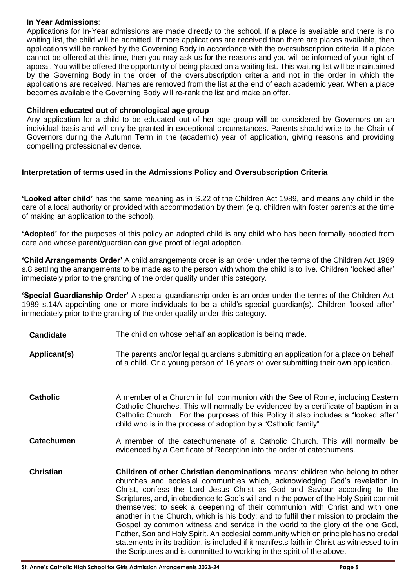#### **In Year Admissions**:

Applications for In-Year admissions are made directly to the school. If a place is available and there is no waiting list, the child will be admitted. If more applications are received than there are places available, then applications will be ranked by the Governing Body in accordance with the oversubscription criteria. If a place cannot be offered at this time, then you may ask us for the reasons and you will be informed of your right of appeal. You will be offered the opportunity of being placed on a waiting list. This waiting list will be maintained by the Governing Body in the order of the oversubscription criteria and not in the order in which the applications are received. Names are removed from the list at the end of each academic year. When a place becomes available the Governing Body will re-rank the list and make an offer.

#### **Children educated out of chronological age group**

Any application for a child to be educated out of her age group will be considered by Governors on an individual basis and will only be granted in exceptional circumstances. Parents should write to the Chair of Governors during the Autumn Term in the (academic) year of application, giving reasons and providing compelling professional evidence.

#### **Interpretation of terms used in the Admissions Policy and Oversubscription Criteria**

**'Looked after child'** has the same meaning as in S.22 of the Children Act 1989, and means any child in the care of a local authority or provided with accommodation by them (e.g. children with foster parents at the time of making an application to the school).

**'Adopted'** for the purposes of this policy an adopted child is any child who has been formally adopted from care and whose parent/guardian can give proof of legal adoption.

**'Child Arrangements Order'** A child arrangements order is an order under the terms of the Children Act 1989 s.8 settling the arrangements to be made as to the person with whom the child is to live. Children 'looked after' immediately prior to the granting of the order qualify under this category.

**'Special Guardianship Order'** A special guardianship order is an order under the terms of the Children Act 1989 s.14A appointing one or more individuals to be a child's special guardian(s). Children 'looked after' immediately prior to the granting of the order qualify under this category.

- **Candidate** The child on whose behalf an application is being made.
- **Applicant(s)** The parents and/or legal guardians submitting an application for a place on behalf of a child. Or a young person of 16 years or over submitting their own application.
- **Catholic** A member of a Church in full communion with the See of Rome, including Eastern Catholic Churches. This will normally be evidenced by a certificate of baptism in a Catholic Church. For the purposes of this Policy it also includes a "looked after" child who is in the process of adoption by a "Catholic family".
- **Catechumen** A member of the catechumenate of a Catholic Church. This will normally be evidenced by a Certificate of Reception into the order of catechumens.
- **Christian Children of other Christian denominations** means: children who belong to other churches and ecclesial communities which, acknowledging God's revelation in Christ, confess the Lord Jesus Christ as God and Saviour according to the Scriptures, and, in obedience to God's will and in the power of the Holy Spirit commit themselves: to seek a deepening of their communion with Christ and with one another in the Church, which is his body; and to fulfil their mission to proclaim the Gospel by common witness and service in the world to the glory of the one God, Father, Son and Holy Spirit. An ecclesial community which on principle has no credal statements in its tradition, is included if it manifests faith in Christ as witnessed to in the Scriptures and is committed to working in the spirit of the above.